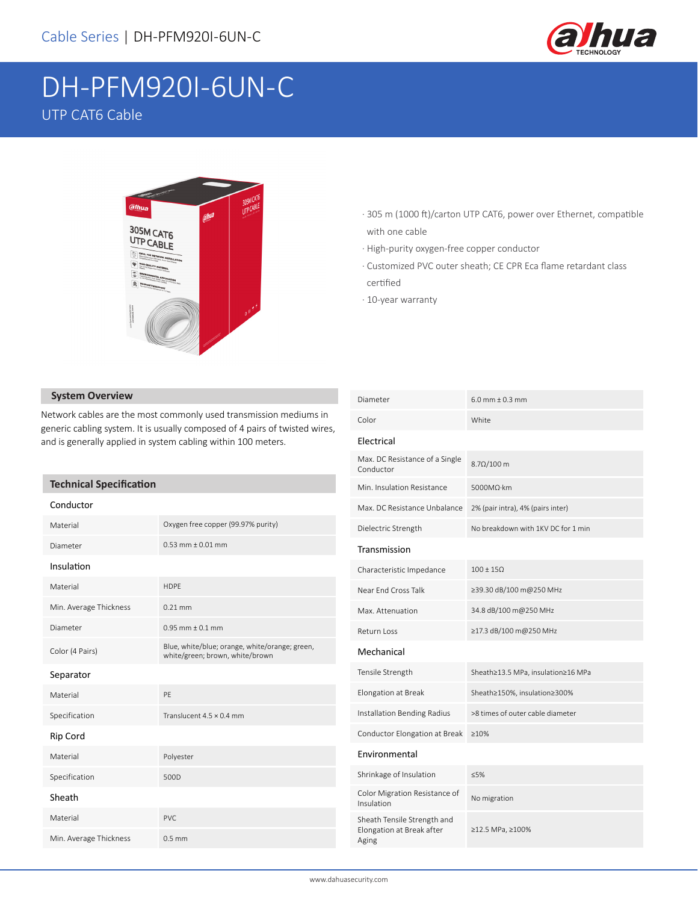

# DH-PFM920I-6UN-C UTP CAT6 Cable



- · 305 m (1000 ft)/carton UTP CAT6, power over Ethernet, compatible with one cable
- · High-purity oxygen-free copper conductor
- · Customized PVC outer sheath; CE CPR Eca flame retardant class certified
- · 10-year warranty

### **System Overview**

Network cables are the most commonly used transmission mediums in generic cabling system. It is usually composed of 4 pairs of twisted wires, and is generally applied in system cabling within 100 meters.

#### **Technical Specification**

| Conductor              |                                                                                   |  |  |
|------------------------|-----------------------------------------------------------------------------------|--|--|
| Material               | Oxygen free copper (99.97% purity)                                                |  |  |
| Diameter               | $0.53$ mm + 0.01 mm                                                               |  |  |
| Insulation             |                                                                                   |  |  |
| Material               | <b>HDPE</b>                                                                       |  |  |
| Min. Average Thickness | $0.21$ mm                                                                         |  |  |
| Diameter               | $0.95$ mm $\pm 0.1$ mm                                                            |  |  |
| Color (4 Pairs)        | Blue, white/blue; orange, white/orange; green,<br>white/green; brown, white/brown |  |  |
| Separator              |                                                                                   |  |  |
| Material               | PF                                                                                |  |  |
| Specification          | Translucent $4.5 \times 0.4$ mm                                                   |  |  |
| Rip Cord               |                                                                                   |  |  |
| Material               | Polyester                                                                         |  |  |
| Specification          | 500D                                                                              |  |  |
| Sheath                 |                                                                                   |  |  |
| Material               | PVC.                                                                              |  |  |
| Min. Average Thickness | $0.5$ mm                                                                          |  |  |

| Diameter                                                          | $6.0$ mm $\pm$ 0.3 mm              |  |  |
|-------------------------------------------------------------------|------------------------------------|--|--|
| Color                                                             | White                              |  |  |
| Electrical                                                        |                                    |  |  |
| Max. DC Resistance of a Single<br>Conductor                       | $8.7\Omega/100$ m                  |  |  |
| Min. Insulation Resistance                                        | 5000MΩ·km                          |  |  |
| Max. DC Resistance Unbalance                                      | 2% (pair intra), 4% (pairs inter)  |  |  |
| Dielectric Strength                                               | No breakdown with 1KV DC for 1 min |  |  |
| Transmission                                                      |                                    |  |  |
| Characteristic Impedance                                          | $100 \pm 150$                      |  |  |
| Near Fnd Cross Talk                                               | ≥39.30 dB/100 m@250 MHz            |  |  |
| Max. Attenuation                                                  | 34.8 dB/100 m@250 MHz              |  |  |
| Return Loss                                                       | ≥17.3 dB/100 m@250 MHz             |  |  |
| Mechanical                                                        |                                    |  |  |
| Tensile Strength                                                  | Sheath≥13.5 MPa, insulation≥16 MPa |  |  |
| Elongation at Break                                               | Sheath≥150%, insulation≥300%       |  |  |
| Installation Bending Radius                                       | >8 times of outer cable diameter   |  |  |
| Conductor Elongation at Break                                     | $>10\%$                            |  |  |
| Environmental                                                     |                                    |  |  |
| Shrinkage of Insulation                                           | < 5%                               |  |  |
| Color Migration Resistance of<br>Insulation                       | No migration                       |  |  |
| Sheath Tensile Strength and<br>Elongation at Break after<br>Aging | ≥12.5 MPa, ≥100%                   |  |  |